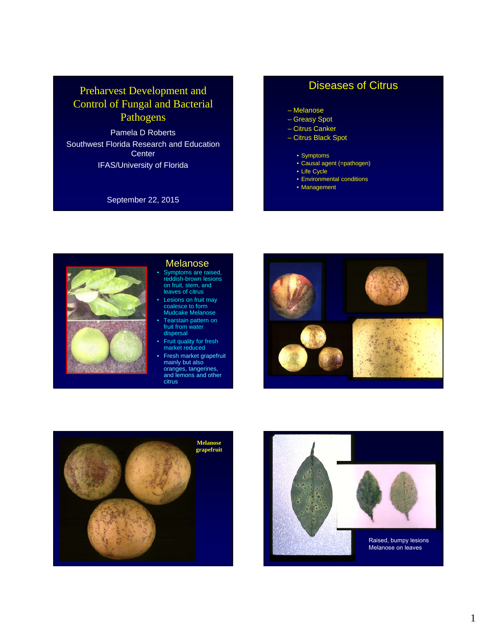# Preharvest Development and Control of Fungal and Bacterial Pathogens

Pamela D Roberts Southwest Florida Research and Education **Center** IFAS/University of Florida

September 22, 2015

# Diseases of Citrus

- Melanose
- Greasy Spot
- Citrus Canker
- Citrus Black Spot
	- Symptoms
	- Causal agent (=pathogen)
	- Life Cycle
	- Environmental conditions
	- Management



#### Melanose

- Symptoms are raised, reddish-brown lesions on fruit, stem, and leaves of citrus
- Lesions on fruit may coalesce to form Mudcake Melanose
- Tearstain pattern on fruit from water dispersal
- Fruit quality for fresh market reduced
- Fresh market grapefruit mainly but also oranges, tangerines, and lemons and other
- citrus





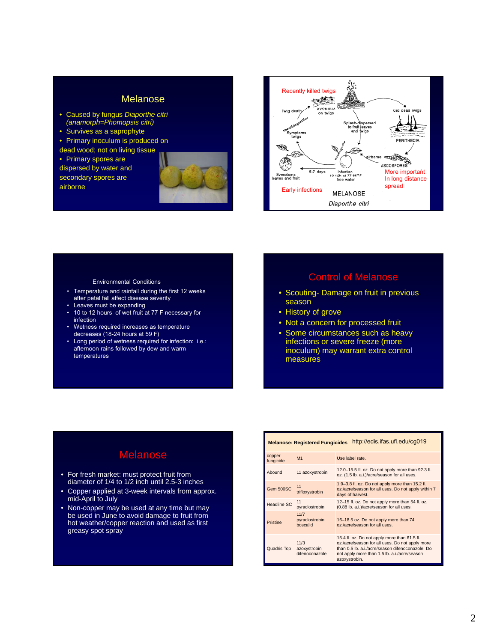## Melanose

- Caused by fungus *Diaporthe citri (anamorph=Phomopsis citri)*
- Survives as a saprophyte
- Primary inoculum is produced on

dead wood; not on living tissue

• Primary spores are dispersed by water and secondary spores are airborne





- Temperature and rainfall during the first 12 weeks after petal fall affect disease severity
- Leaves must be expanding
- 10 to 12 hours of wet fruit at 77 F necessary for infection
- Wetness required increases as temperature decreases (18-24 hours at 59 F)
- Long period of wetness required for infection: i.e.: afternoon rains followed by dew and warm temperatures

# Environmental Conditions Control of Melanose

- Scouting- Damage on fruit in previous season
- History of grove
- Not a concern for processed fruit
- Some circumstances such as heavy infections or severe freeze (more inoculum) may warrant extra control measures

# Melanose

- For fresh market: must protect fruit from diameter of 1/4 to 1/2 inch until 2.5-3 inches
- Copper applied at 3-week intervals from approx. mid-April to July
- Non-copper may be used at any time but may be used in June to avoid damage to fruit from hot weather/copper reaction and used as first greasy spot spray

| http://edis.ifas.ufl.edu/cg019<br><b>Melanose: Registered Fungicides</b> |                                        |                                                                                                                                                                                                                      |  |
|--------------------------------------------------------------------------|----------------------------------------|----------------------------------------------------------------------------------------------------------------------------------------------------------------------------------------------------------------------|--|
| copper<br>fungicide                                                      | M1                                     | Use label rate.                                                                                                                                                                                                      |  |
| Abound                                                                   | 11 azoxystrobin                        | 12.0-15.5 fl. oz. Do not apply more than 92.3 fl.<br>oz. (1.5 lb. a.i.)/acre/season for all uses.                                                                                                                    |  |
| Gem 500SC                                                                | 11<br>trifloxystrobin                  | 1.9-3.8 fl. oz. Do not apply more than 15.2 fl.<br>oz./acre/season for all uses. Do not apply within 7<br>days of harvest.                                                                                           |  |
| <b>Headline SC</b>                                                       | 11<br>pyraclostrobin                   | 12-15 fl. oz. Do not apply more than 54 fl. oz.<br>(0.88 lb. a.i.)/acre/season for all uses.                                                                                                                         |  |
| Pristine                                                                 | 11/7<br>pyraclostrobin<br>hoscalid     | 16-18.5 oz. Do not apply more than 74<br>oz./acre/season for all uses.                                                                                                                                               |  |
| Quadris Top                                                              | 11/3<br>azoxystrobin<br>difenoconazole | 15.4 fl. oz. Do not apply more than 61.5 fl.<br>oz./acre/season for all uses. Do not apply more<br>than 0.5 lb. a.i./acre/season difenoconazole. Do<br>not apply more than 1.5 lb. a.i./acre/season<br>azoxystrobin. |  |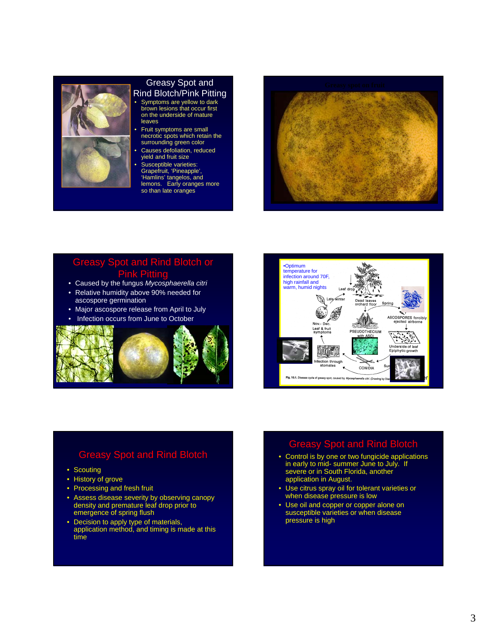# Greasy Spot and

- Rind Blotch/Pink Pitting
- Symptoms are yellow to dark brown lesions that occur first on the underside of mature leaves
- Fruit symptoms are small necrotic spots which retain the surrounding green color
- Causes defoliation, reduced yield and fruit size
- Susceptible varieties: Grapefruit, 'Pineapple', 'Hamlins' tangelos, and lemons. Early oranges more so than late oranges



## Greasy Spot and Rind Blotch or Pink Pitting

- Caused by the fungus *Mycosphaerella citri*
- Relative humidity above 90% needed for ascospore germination
- Major ascospore release from April to July
- Infection occurs from June to October





## Greasy Spot and Rind Blotch

- Scouting
- History of grove
- Processing and fresh fruit
- Assess disease severity by observing canopy density and premature leaf drop prior to emergence of spring flush
- Decision to apply type of materials, application method, and timing is made at this time

# Greasy Spot and Rind Blotch

- Control is by one or two fungicide applications in early to mid- summer June to July. If severe or in South Florida, another application in August.
- Use citrus spray oil for tolerant varieties or when disease pressure is low
- Use oil and copper or copper alone on susceptible varieties or when disease pressure is high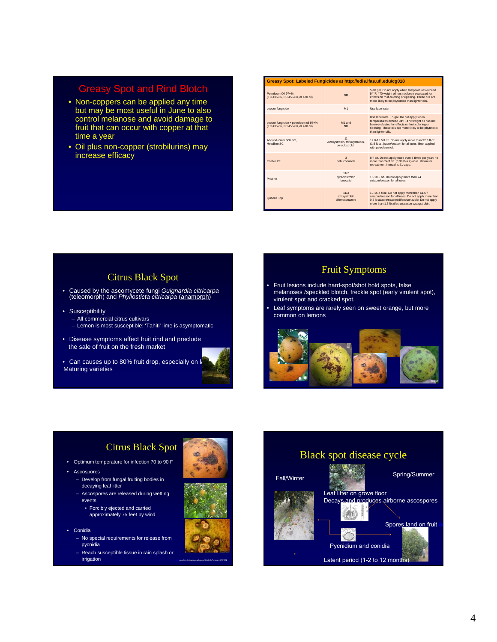## Greasy Spot and Rind Blotch

- Non-coppers can be applied any time but may be most useful in June to also control melanose and avoid damage to fruit that can occur with copper at that time a year
- Oil plus non-copper (strobilurins) may increase efficacy

| Greasy Spot: Labeled Fungicides at http://edis.ifas.ufl.edu/cg018           |                                                        |                                                                                                                                                                                                                                 |  |  |
|-----------------------------------------------------------------------------|--------------------------------------------------------|---------------------------------------------------------------------------------------------------------------------------------------------------------------------------------------------------------------------------------|--|--|
| Petroleum Oil 97+%<br>(FC 435-66, FC 455-88, or 470 oil)                    | <b>NR</b>                                              | 5-10 gal. Do not apply when temperatures exceed<br>94°F, 470 weight oil has not been evaluated for<br>effects on fruit coloring or ripening. These oils are<br>more likely to be phytotoxic than lighter oils.                  |  |  |
| copper fungicide                                                            | M1                                                     | Use label rate                                                                                                                                                                                                                  |  |  |
| copper fungicide + petroleum oil 97+%<br>(FC 435-66, FC 455-88, or 470 oil) | M1 and<br><b>NR</b>                                    | Use label rate + 5 gal. Do not apply when<br>temperatures exceed 94°F. 470 weight oil has not<br>been evaluated for effects on fruit coloring or<br>ripening. These oils are more likely to be phytotoxic<br>than lighter oils. |  |  |
| Abound Gem 500 SC.<br>Headline SC                                           | 11<br>Azoxystrobin, trifloxystrobin,<br>pyraclostrobin | 12.0-15.5 fl oz. Do not apply more than 92.3 fl oz<br>(1.5 lb a.i.)/acre/season for all uses. Best applied<br>with petroleum oil.                                                                                               |  |  |
| Fnahle <sub>2F</sub>                                                        | $\overline{\mathbf{a}}$<br>Febuconazole                | 8 fl oz. Do not apply more than 3 times per year: no<br>more than 24 fl oz. (0.38 lb a.i.)/acre. Minimum<br>retreatment interval is 21 days.                                                                                    |  |  |
| Pristine                                                                    | 11/7<br>pyraclostrobin<br>hoscalid                     | 16-18.5 oz. Do not apply more than 74<br>oz/acre/season for all uses                                                                                                                                                            |  |  |
| Quadris Top                                                                 | 11/3<br>azoxystrobin<br>difennonnazole                 | 10-15.4 fl oz. Do not apply more than 61.5 fl<br>oz/acre/season for all uses. Do not apply more than<br>0.5 lb ai/acre/season difenoconazole. Do not apply<br>more than 1.5 lb ai/acre/season azoxystrobin.                     |  |  |

### Citrus Black Spot

- Caused by the ascomycete fungi *Guignardia citricarpa*  (teleomorph) and *Phyllosticta citricarpa* (anamorph)
- Susceptibility
	- All commercial citrus cultivars
	- Lemon is most susceptible; 'Tahiti' lime is asymptomatic
- Disease symptoms affect fruit rind and preclude the sale of fruit on the fresh market

• Can causes up to 80% fruit drop, especially on la Maturing varieties



#### Fruit Symptoms

- Fruit lesions include hard-spot/shot hold spots, false melanoses /speckled blotch, freckle spot (early virulent spot), virulent spot and cracked spot.
- Leaf symptoms are rarely seen on sweet orange, but more common on lemons



# Citrus Black Spot

- Optimum temperature for infection 70 to 90 F
- Ascospores
	- Develop from fungal fruiting bodies in decaying leaf litter
	- Ascospores are released during wetting events
		- Forcibly ejected and carried
		- approximately 75 feet by wind
- Conidia
	- No special requirements for release from pycnidia
	- Reach susceptible tissue in rain splash or irrigation http://www.forestryimages.org/browse/detail.cfm?imgnum=2171092

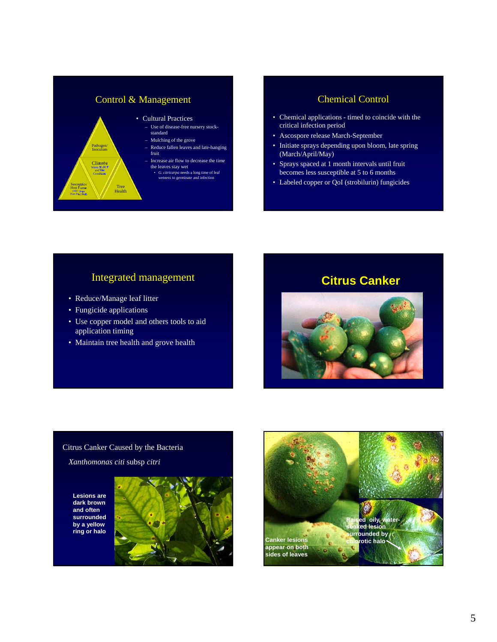

#### Chemical Control

- Chemical applications timed to coincide with the critical infection period
- Ascospore release March-September
- Initiate sprays depending upon bloom, late spring (March/April/May)
- Sprays spaced at 1 month intervals until fruit becomes less susceptible at 5 to 6 months
- Labeled copper or QoI (strobilurin) fungicides

- Reduce/Manage leaf litter
- Fungicide applications
- Use copper model and others tools to aid application timing
- Maintain tree health and grove health



#### Citrus Canker Caused by the Bacteria

*Xanthomonas citi* subsp *citri*

**Lesions are dark brown and often surrounded by a yellow ring or halo** 



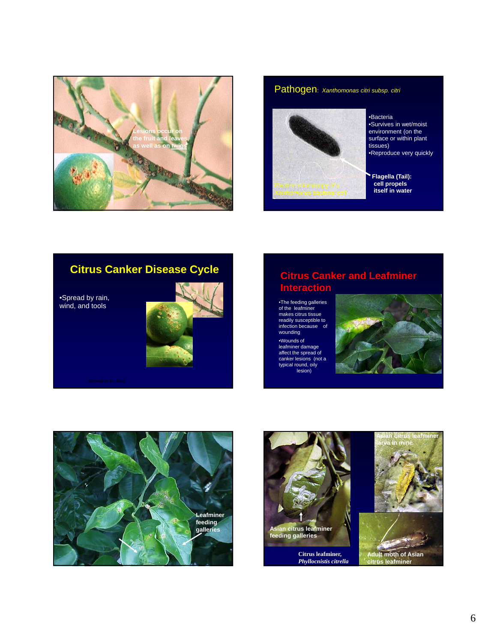

### Pathogen: *Xanthomonas citri subsp. citri*



•Bacteria •Survives in wet/moist environment (on the surface or within plant tissues) •Reproduce very quickly

**Flagella (Tail): cell propels itself in water**

# **Citrus Canker Disease Cycle**

•Spread by rain, wind, and tools



# **Citrus Canker and Leafminer Interaction**

•The feeding galleries of the leafminer makes citrus tissue readily susceptible to infection because of wounding

•Wounds of leafminer damage affect the spread of canker lesions (not a typical round, oily lesion)